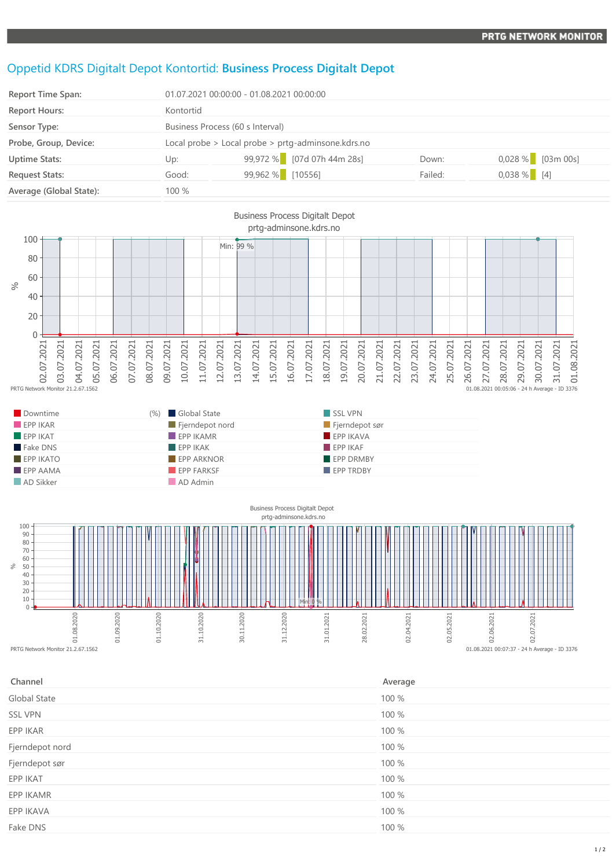## Oppetid KDRS Digitalt Depot Kontortid: **Business Process Digitalt Depot**

| <b>Report Time Span:</b> | 01.07.2021 00:00:00 - 01.08.2021 00:00:00              |                            |         |                     |
|--------------------------|--------------------------------------------------------|----------------------------|---------|---------------------|
| <b>Report Hours:</b>     | Kontortid                                              |                            |         |                     |
| Sensor Type:             | Business Process (60 s Interval)                       |                            |         |                     |
| Probe, Group, Device:    | Local probe $>$ Local probe $>$ prtg-adminsone.kdrs.no |                            |         |                     |
| <b>Uptime Stats:</b>     | Up:                                                    | 99,972 % [07d 07h 44m 28s] | Down:   | $0,028\%$ [03m 00s] |
| <b>Request Stats:</b>    | Good:                                                  | 99,962 % [10556]           | Failed: | $0,038\%$ [4]       |
| Average (Global State):  | 100 %                                                  |                            |         |                     |



| Downtime                | (%) Global State  | SSL VPN          |
|-------------------------|-------------------|------------------|
| EPPIKAR                 | Fjerndepot nord   | Fjerndepot sør   |
| $EPP$ IKAT              | $EPP$ IKAMR       | EPP IKAVA        |
| Fake DNS                | EPPIKAK           | EPPIKAF          |
| $EPP$ IKATO             | <b>EPP ARKNOR</b> | <b>EPP DRMBY</b> |
| $\blacksquare$ EPP AAMA | EPP FARKSF        | <b>EPP TRDBY</b> |
| AD Sikker               | AD Admin          |                  |



| Average |
|---------|
| 100 %   |
| 100 %   |
| 100 %   |
| 100 %   |
| 100 %   |
| 100 %   |
| 100 %   |
| 100 %   |
| 100 %   |
|         |